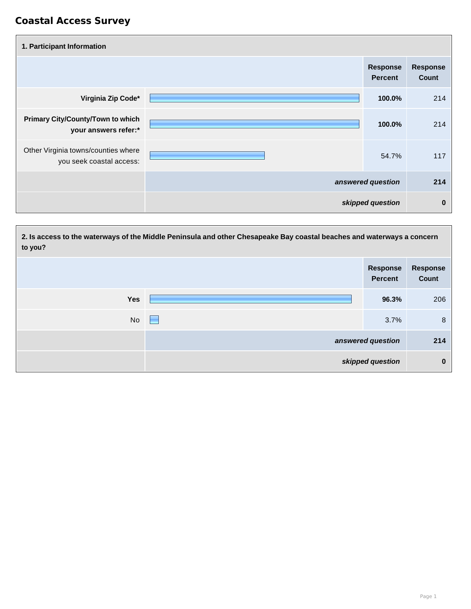| 1. Participant Information                                       |                                   |                                 |
|------------------------------------------------------------------|-----------------------------------|---------------------------------|
|                                                                  | <b>Response</b><br><b>Percent</b> | <b>Response</b><br><b>Count</b> |
| Virginia Zip Code*                                               | 100.0%                            | 214                             |
| <b>Primary City/County/Town to which</b><br>your answers refer:* | 100.0%                            | 214                             |
| Other Virginia towns/counties where<br>you seek coastal access:  | 54.7%                             | 117                             |
|                                                                  | answered question                 | 214                             |
|                                                                  | skipped question                  | $\bf{0}$                        |

| to you?    | 2. Is access to the waterways of the Middle Peninsula and other Chesapeake Bay coastal beaches and waterways a concern |                                   |                          |
|------------|------------------------------------------------------------------------------------------------------------------------|-----------------------------------|--------------------------|
|            |                                                                                                                        | <b>Response</b><br><b>Percent</b> | <b>Response</b><br>Count |
| <b>Yes</b> |                                                                                                                        | 96.3%                             | 206                      |
| <b>No</b>  | ⊨                                                                                                                      | 3.7%                              | 8                        |
|            |                                                                                                                        | answered question                 | 214                      |
|            |                                                                                                                        | skipped question                  | $\bf{0}$                 |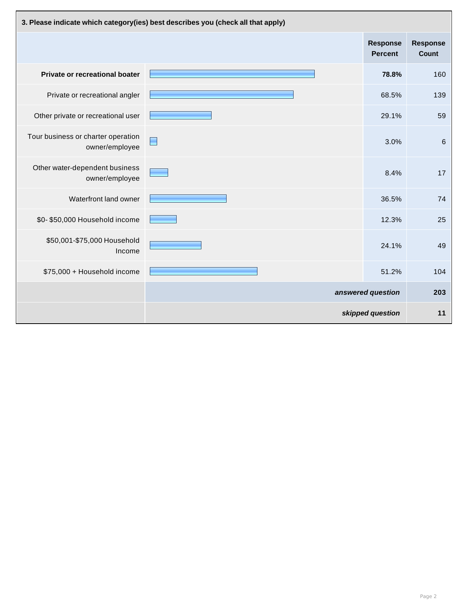| 3. Please indicate which category(ies) best describes you (check all that apply) |                   |                                   |                                 |
|----------------------------------------------------------------------------------|-------------------|-----------------------------------|---------------------------------|
|                                                                                  |                   | <b>Response</b><br><b>Percent</b> | <b>Response</b><br><b>Count</b> |
| Private or recreational boater                                                   |                   | 78.8%                             | 160                             |
| Private or recreational angler                                                   |                   | 68.5%                             | 139                             |
| Other private or recreational user                                               |                   | 29.1%                             | 59                              |
| Tour business or charter operation<br>owner/employee                             |                   | 3.0%                              | 6                               |
| Other water-dependent business<br>owner/employee                                 |                   | 8.4%                              | 17                              |
| Waterfront land owner                                                            |                   | 36.5%                             | 74                              |
| \$0-\$50,000 Household income                                                    |                   | 12.3%                             | 25                              |
| \$50,001-\$75,000 Household<br>Income                                            |                   | 24.1%                             | 49                              |
| \$75,000 + Household income                                                      |                   | 51.2%                             | 104                             |
|                                                                                  | answered question |                                   | 203                             |
|                                                                                  |                   | skipped question                  | 11                              |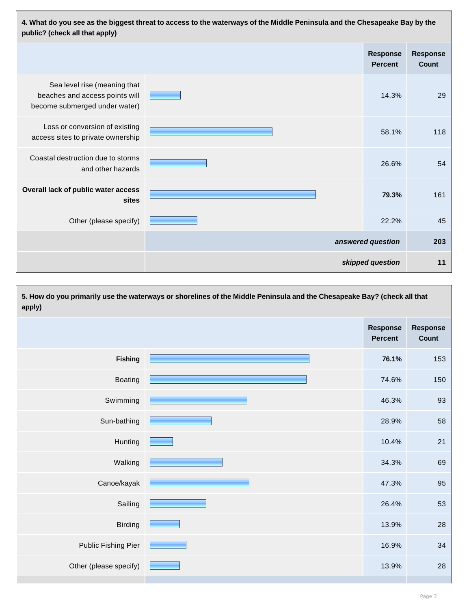| 4. What do you see as the biggest threat to access to the waterways of the Middle Peninsula and the Chesapeake Bay by the<br>public? (check all that apply) |  |                                   |                          |
|-------------------------------------------------------------------------------------------------------------------------------------------------------------|--|-----------------------------------|--------------------------|
|                                                                                                                                                             |  | <b>Response</b><br><b>Percent</b> | <b>Response</b><br>Count |
| Sea level rise (meaning that<br>beaches and access points will<br>become submerged under water)                                                             |  | 14.3%                             | 29                       |
| Loss or conversion of existing<br>access sites to private ownership                                                                                         |  | 58.1%                             | 118                      |
| Coastal destruction due to storms<br>and other hazards                                                                                                      |  | 26.6%                             | 54                       |
| Overall lack of public water access<br>sites                                                                                                                |  | 79.3%                             | 161                      |
| Other (please specify)                                                                                                                                      |  | 22.2%                             | 45                       |
|                                                                                                                                                             |  | answered question                 | 203                      |
|                                                                                                                                                             |  | skipped question                  | 11                       |

**5. How do you primarily use the waterways or shorelines of the Middle Peninsula and the Chesapeake Bay? (check all that apply) Response Percent Response Count Fishing 76.1%** 153 Boating <u>1988 - 150 March 2008</u> 150 March 2016 150 March 2016 150 March 2016 150 March 2016 150 March 2016 150 Swimming 2012 and 2013 and 2014 and 2014 and 2014 and 2014 and 2014 and 2014 and 2014 and 2014 and 2014 and 20<br>Contract the Contract of the Contract of the Contract of the Contract of the Contract of the Contract of the Co Sun-bathing **E** and the state of the state of the state of the state of the state of the state of the state of the state of the state of the state of the state of the state of the state of the state of the state of the sta Hunting 10.4% 21 Walking 34.3% 69 Canoe/kayak **1999 - Andrew Marshall (1999)** 1999 - Andrew Marshall (1999) 1995 - Andrew Marshall (1999) 1995 - Andrew Marshall (1999) 1996 - Andrew Marshall (1999) 1996 - Andrew Marshall (1999) 1996 - Andrew Marshall (1999  $S$ ailing  $\sim$  53 Birding 13.9% 28 **28 13.9% 28 13.9% 28 13.9%** Public Fishing Pier **16.9%** 34 Other (please specify) **28** and the contract of the contract of the contract of the contract of the contract of the contract of the contract of the contract of the contract of the contract of the contract of the contract o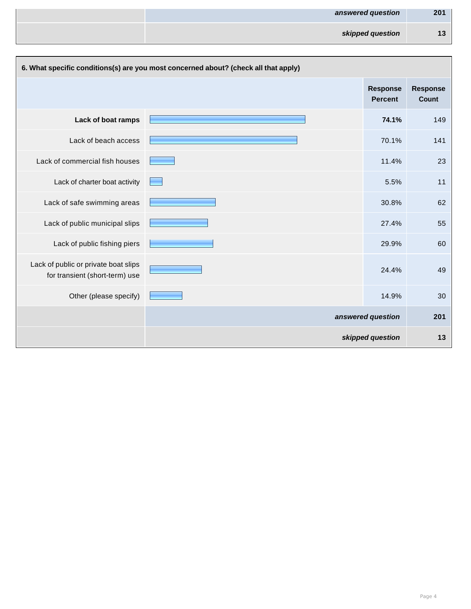| 201<br>answered question |
|--------------------------|
| skipped question<br>13   |

| 6. What specific conditions(s) are you most concerned about? (check all that apply) |  |                                   |                                 |
|-------------------------------------------------------------------------------------|--|-----------------------------------|---------------------------------|
|                                                                                     |  | <b>Response</b><br><b>Percent</b> | <b>Response</b><br><b>Count</b> |
| Lack of boat ramps                                                                  |  | 74.1%                             | 149                             |
| Lack of beach access                                                                |  | 70.1%                             | 141                             |
| Lack of commercial fish houses                                                      |  | 11.4%                             | 23                              |
| Lack of charter boat activity                                                       |  | 5.5%                              | 11                              |
| Lack of safe swimming areas                                                         |  | 30.8%                             | 62                              |
| Lack of public municipal slips                                                      |  | 27.4%                             | 55                              |
| Lack of public fishing piers                                                        |  | 29.9%                             | 60                              |
| Lack of public or private boat slips<br>for transient (short-term) use              |  | 24.4%                             | 49                              |
| Other (please specify)                                                              |  | 14.9%                             | 30                              |
|                                                                                     |  | answered question                 | 201                             |
|                                                                                     |  | skipped question                  | 13                              |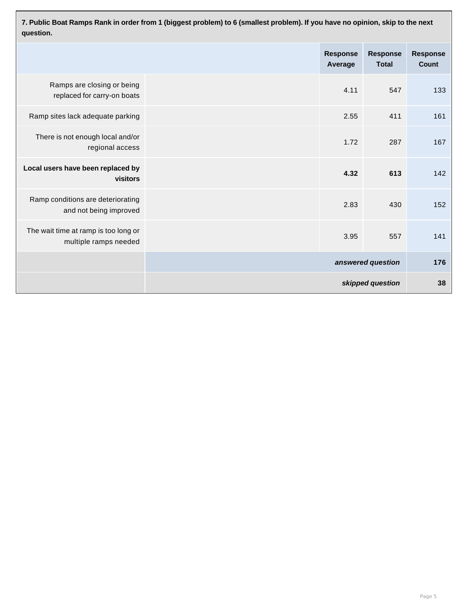**7. Public Boat Ramps Rank in order from 1 (biggest problem) to 6 (smallest problem). If you have no opinion, skip to the next question.**

|                                                               | <b>Response</b><br>Average | <b>Response</b><br><b>Total</b> | <b>Response</b><br><b>Count</b> |
|---------------------------------------------------------------|----------------------------|---------------------------------|---------------------------------|
| Ramps are closing or being<br>replaced for carry-on boats     | 4.11                       | 547                             | 133                             |
| Ramp sites lack adequate parking                              | 2.55                       | 411                             | 161                             |
| There is not enough local and/or<br>regional access           | 1.72                       | 287                             | 167                             |
| Local users have been replaced by<br>visitors                 | 4.32                       | 613                             | 142                             |
| Ramp conditions are deteriorating<br>and not being improved   | 2.83                       | 430                             | 152                             |
| The wait time at ramp is too long or<br>multiple ramps needed | 3.95                       | 557                             | 141                             |
|                                                               |                            | answered question               | 176                             |
|                                                               |                            | skipped question                | 38                              |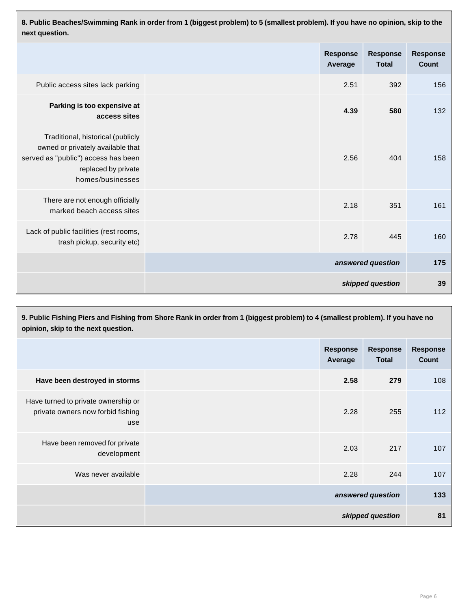**8. Public Beaches/Swimming Rank in order from 1 (biggest problem) to 5 (smallest problem). If you have no opinion, skip to the next question.**

|                                                                                                                                                          | <b>Response</b><br>Average | <b>Response</b><br><b>Total</b> | <b>Response</b><br><b>Count</b> |
|----------------------------------------------------------------------------------------------------------------------------------------------------------|----------------------------|---------------------------------|---------------------------------|
| Public access sites lack parking                                                                                                                         | 2.51                       | 392                             | 156                             |
| Parking is too expensive at<br>access sites                                                                                                              | 4.39                       | 580                             | 132                             |
| Traditional, historical (publicly<br>owned or privately available that<br>served as "public") access has been<br>replaced by private<br>homes/businesses | 2.56                       | 404                             | 158                             |
| There are not enough officially<br>marked beach access sites                                                                                             | 2.18                       | 351                             | 161                             |
| Lack of public facilities (rest rooms,<br>trash pickup, security etc)                                                                                    | 2.78                       | 445                             | 160                             |
|                                                                                                                                                          |                            | answered question               | 175                             |
|                                                                                                                                                          |                            | skipped question                | 39                              |

| 9. Public Fishing Piers and Fishing from Shore Rank in order from 1 (biggest problem) to 4 (smallest problem). If you have no<br>opinion, skip to the next question. |                   |                            |                                 |                                 |
|----------------------------------------------------------------------------------------------------------------------------------------------------------------------|-------------------|----------------------------|---------------------------------|---------------------------------|
|                                                                                                                                                                      |                   | <b>Response</b><br>Average | <b>Response</b><br><b>Total</b> | <b>Response</b><br><b>Count</b> |
| Have been destroyed in storms                                                                                                                                        |                   | 2.58                       | 279                             | 108                             |
| Have turned to private ownership or<br>private owners now forbid fishing<br>use                                                                                      |                   | 2.28                       | 255                             | 112                             |
| Have been removed for private<br>development                                                                                                                         |                   | 2.03                       | 217                             | 107                             |
| Was never available                                                                                                                                                  |                   | 2.28                       | 244                             | 107                             |
|                                                                                                                                                                      | answered question |                            | 133                             |                                 |
|                                                                                                                                                                      |                   |                            | skipped question                | 81                              |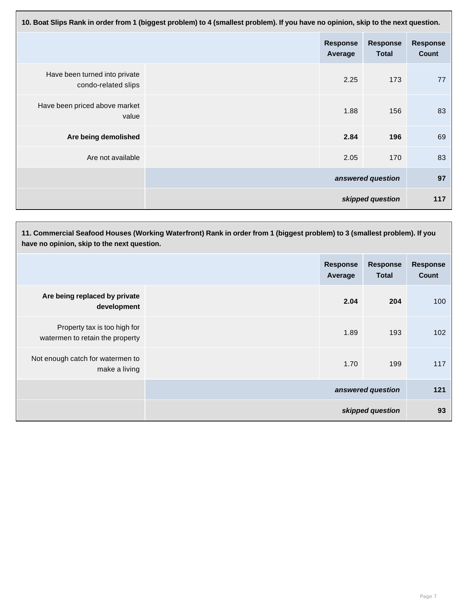| 10. Boat Slips Rank in order from 1 (biggest problem) to 4 (smallest problem). If you have no opinion, skip to the next question. |                   |                            |                                 |                                 |
|-----------------------------------------------------------------------------------------------------------------------------------|-------------------|----------------------------|---------------------------------|---------------------------------|
|                                                                                                                                   |                   | <b>Response</b><br>Average | <b>Response</b><br><b>Total</b> | <b>Response</b><br><b>Count</b> |
| Have been turned into private<br>condo-related slips                                                                              |                   | 2.25                       | 173                             | 77                              |
| Have been priced above market<br>value                                                                                            |                   | 1.88                       | 156                             | 83                              |
| Are being demolished                                                                                                              |                   | 2.84                       | 196                             | 69                              |
| Are not available                                                                                                                 |                   | 2.05                       | 170                             | 83                              |
|                                                                                                                                   | answered question |                            | 97                              |                                 |
|                                                                                                                                   |                   |                            | skipped question                | 117                             |

**11. Commercial Seafood Houses (Working Waterfront) Rank in order from 1 (biggest problem) to 3 (smallest problem). If you have no opinion, skip to the next question.**

|                                                                 | <b>Response</b><br>Average | <b>Response</b><br><b>Total</b> | <b>Response</b><br>Count |
|-----------------------------------------------------------------|----------------------------|---------------------------------|--------------------------|
| Are being replaced by private<br>development                    | 2.04                       | 204                             | 100                      |
| Property tax is too high for<br>watermen to retain the property | 1.89                       | 193                             | 102                      |
| Not enough catch for watermen to<br>make a living               | 1.70                       | 199                             | 117                      |
|                                                                 |                            | answered question               | 121                      |
|                                                                 |                            | skipped question                | 93                       |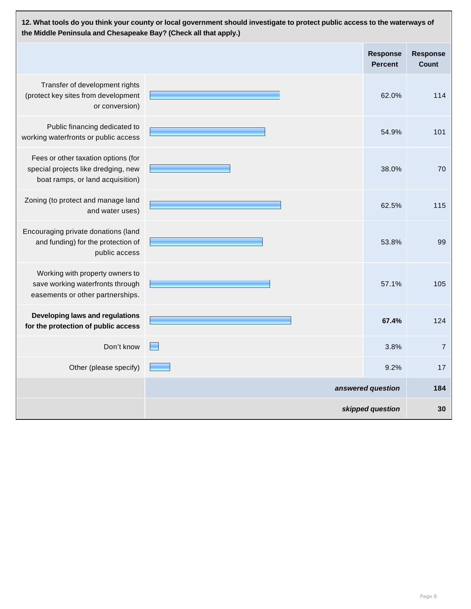| 12. What tools do you think your county or local government should investigate to protect public access to the waterways of<br>the Middle Peninsula and Chesapeake Bay? (Check all that apply.) |                   |                                   |                                 |
|-------------------------------------------------------------------------------------------------------------------------------------------------------------------------------------------------|-------------------|-----------------------------------|---------------------------------|
|                                                                                                                                                                                                 |                   | <b>Response</b><br><b>Percent</b> | <b>Response</b><br><b>Count</b> |
| Transfer of development rights<br>(protect key sites from development<br>or conversion)                                                                                                         |                   | 62.0%                             | 114                             |
| Public financing dedicated to<br>working waterfronts or public access                                                                                                                           |                   | 54.9%                             | 101                             |
| Fees or other taxation options (for<br>special projects like dredging, new<br>boat ramps, or land acquisition)                                                                                  |                   | 38.0%                             | 70                              |
| Zoning (to protect and manage land<br>and water uses)                                                                                                                                           |                   | 62.5%                             | 115                             |
| Encouraging private donations (land<br>and funding) for the protection of<br>public access                                                                                                      |                   | 53.8%                             | 99                              |
| Working with property owners to<br>save working waterfronts through<br>easements or other partnerships.                                                                                         |                   | 57.1%                             | 105                             |
| Developing laws and regulations<br>for the protection of public access                                                                                                                          |                   | 67.4%                             | 124                             |
| Don't know                                                                                                                                                                                      |                   | 3.8%                              | $\overline{7}$                  |
| Other (please specify)                                                                                                                                                                          |                   | 9.2%                              | 17                              |
|                                                                                                                                                                                                 | answered question |                                   | 184                             |
|                                                                                                                                                                                                 |                   | skipped question                  | 30                              |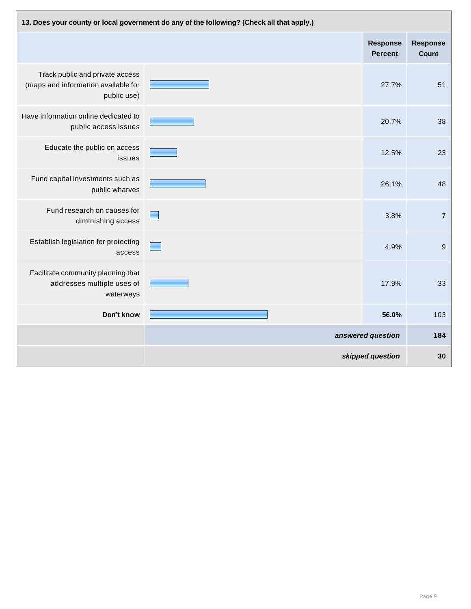| 13. Does your county or local government do any of the following? (Check all that apply.) |                   |                                   |                                 |
|-------------------------------------------------------------------------------------------|-------------------|-----------------------------------|---------------------------------|
|                                                                                           |                   | <b>Response</b><br><b>Percent</b> | <b>Response</b><br><b>Count</b> |
| Track public and private access<br>(maps and information available for<br>public use)     |                   | 27.7%                             | 51                              |
| Have information online dedicated to<br>public access issues                              |                   | 20.7%                             | 38                              |
| Educate the public on access<br>issues                                                    |                   | 12.5%                             | 23                              |
| Fund capital investments such as<br>public wharves                                        |                   | 26.1%                             | 48                              |
| Fund research on causes for<br>diminishing access                                         |                   | 3.8%                              | $\overline{7}$                  |
| Establish legislation for protecting<br>access                                            |                   | 4.9%                              | 9                               |
| Facilitate community planning that<br>addresses multiple uses of<br>waterways             |                   | 17.9%                             | 33                              |
| Don't know                                                                                |                   | 56.0%                             | 103                             |
|                                                                                           | answered question |                                   | 184                             |
|                                                                                           |                   | skipped question                  | 30                              |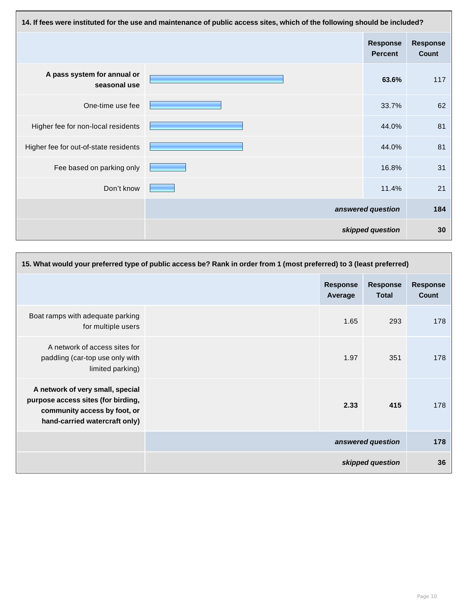| 14. If fees were instituted for the use and maintenance of public access sites, which of the following should be included? |  |                                   |                                 |
|----------------------------------------------------------------------------------------------------------------------------|--|-----------------------------------|---------------------------------|
|                                                                                                                            |  | <b>Response</b><br><b>Percent</b> | <b>Response</b><br><b>Count</b> |
| A pass system for annual or<br>seasonal use                                                                                |  | 63.6%                             | 117                             |
| One-time use fee                                                                                                           |  | 33.7%                             | 62                              |
| Higher fee for non-local residents                                                                                         |  | 44.0%                             | 81                              |
| Higher fee for out-of-state residents                                                                                      |  | 44.0%                             | 81                              |
| Fee based on parking only                                                                                                  |  | 16.8%                             | 31                              |
| Don't know                                                                                                                 |  | 11.4%                             | 21                              |
|                                                                                                                            |  | answered question                 | 184                             |
|                                                                                                                            |  | skipped question                  | 30                              |

| 15. What would your preferred type of public access be? Rank in order from 1 (most preferred) to 3 (least preferred)                    |  |                          |                   |     |
|-----------------------------------------------------------------------------------------------------------------------------------------|--|--------------------------|-------------------|-----|
| <b>Response</b><br><b>Response</b><br>Average<br><b>Total</b>                                                                           |  | <b>Response</b><br>Count |                   |     |
| Boat ramps with adequate parking<br>for multiple users                                                                                  |  | 1.65                     | 293               | 178 |
| A network of access sites for<br>paddling (car-top use only with<br>limited parking)                                                    |  | 1.97                     | 351               | 178 |
| A network of very small, special<br>purpose access sites (for birding,<br>community access by foot, or<br>hand-carried watercraft only) |  | 2.33                     | 415               | 178 |
|                                                                                                                                         |  |                          | answered question | 178 |
|                                                                                                                                         |  |                          | skipped question  | 36  |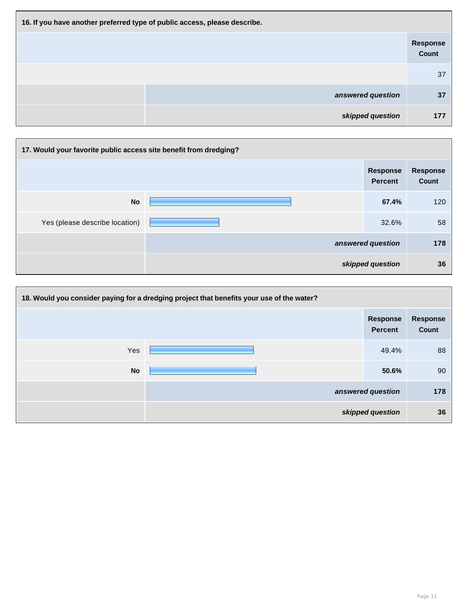| 16. If you have another preferred type of public access, please describe. |                          |  |  |
|---------------------------------------------------------------------------|--------------------------|--|--|
|                                                                           | <b>Response</b><br>Count |  |  |
|                                                                           | 37                       |  |  |
| answered question                                                         | 37                       |  |  |
| skipped question                                                          | 177                      |  |  |

| 17. Would your favorite public access site benefit from dredging? |  |                                   |                                 |
|-------------------------------------------------------------------|--|-----------------------------------|---------------------------------|
|                                                                   |  | <b>Response</b><br><b>Percent</b> | <b>Response</b><br><b>Count</b> |
| <b>No</b>                                                         |  | 67.4%                             | 120                             |
| Yes (please describe location)                                    |  | 32.6%                             | 58                              |
|                                                                   |  | answered question                 | 178                             |
|                                                                   |  | skipped question                  | 36                              |

| 18. Would you consider paying for a dredging project that benefits your use of the water? |  |                                   |                          |
|-------------------------------------------------------------------------------------------|--|-----------------------------------|--------------------------|
|                                                                                           |  | <b>Response</b><br><b>Percent</b> | Response<br><b>Count</b> |
| Yes                                                                                       |  | 49.4%                             | 88                       |
| <b>No</b>                                                                                 |  | 50.6%                             | 90                       |
|                                                                                           |  | answered question                 | 178                      |
| skipped question                                                                          |  | 36                                |                          |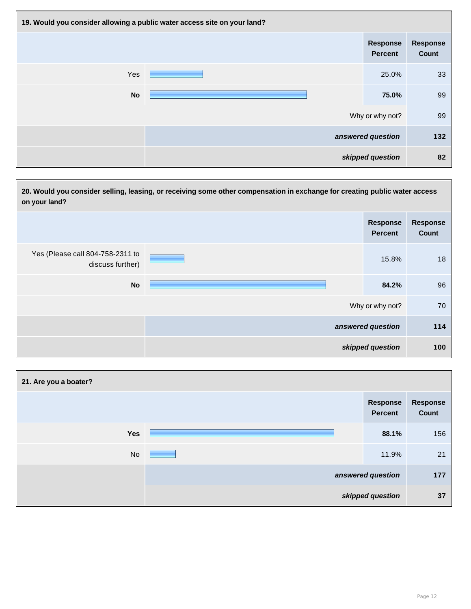| 19. Would you consider allowing a public water access site on your land? |  |                                   |                          |
|--------------------------------------------------------------------------|--|-----------------------------------|--------------------------|
|                                                                          |  | <b>Response</b><br><b>Percent</b> | <b>Response</b><br>Count |
| Yes                                                                      |  | 25.0%                             | 33                       |
| <b>No</b>                                                                |  | 75.0%                             | 99                       |
|                                                                          |  | Why or why not?                   | 99                       |
|                                                                          |  | answered question                 | 132                      |
|                                                                          |  | skipped question                  | 82                       |

| 20. Would you consider selling, leasing, or receiving some other compensation in exchange for creating public water access<br>on your land? |  |                                   |                          |
|---------------------------------------------------------------------------------------------------------------------------------------------|--|-----------------------------------|--------------------------|
|                                                                                                                                             |  | <b>Response</b><br><b>Percent</b> | <b>Response</b><br>Count |
| Yes (Please call 804-758-2311 to<br>discuss further)                                                                                        |  | 15.8%                             | 18                       |
| <b>No</b>                                                                                                                                   |  | 84.2%                             | 96                       |
|                                                                                                                                             |  | Why or why not?                   | 70                       |
|                                                                                                                                             |  | answered question                 | 114                      |
|                                                                                                                                             |  | skipped question                  | 100                      |

| 21. Are you a boater? |  |                                   |                          |
|-----------------------|--|-----------------------------------|--------------------------|
|                       |  | <b>Response</b><br><b>Percent</b> | <b>Response</b><br>Count |
| <b>Yes</b>            |  | 88.1%                             | 156                      |
| <b>No</b>             |  | 11.9%                             | 21                       |
|                       |  | answered question                 | 177                      |
| skipped question      |  | 37                                |                          |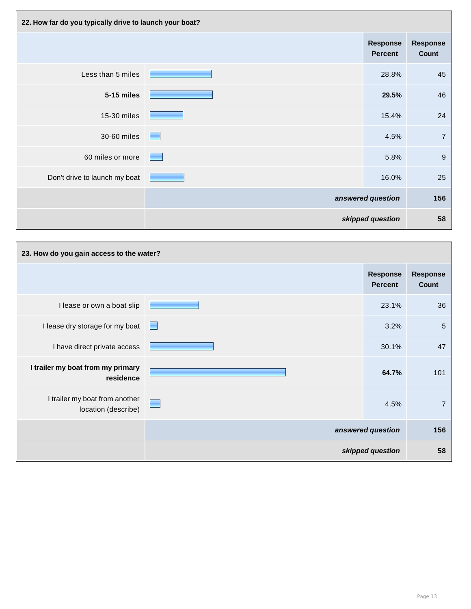| 22. How far do you typically drive to launch your boat? |                                   |                                   |                          |
|---------------------------------------------------------|-----------------------------------|-----------------------------------|--------------------------|
|                                                         |                                   | <b>Response</b><br><b>Percent</b> | <b>Response</b><br>Count |
| Less than 5 miles                                       |                                   | 28.8%                             | 45                       |
| 5-15 miles                                              |                                   | 29.5%                             | 46                       |
| 15-30 miles                                             |                                   | 15.4%                             | 24                       |
| 30-60 miles                                             | <b>Contract</b>                   | 4.5%                              | $\overline{7}$           |
| 60 miles or more                                        | <b>Contract Contract Contract</b> | 5.8%                              | 9                        |
| Don't drive to launch my boat                           |                                   | 16.0%                             | 25                       |
|                                                         |                                   | answered question                 | 156                      |
|                                                         |                                   | skipped question                  | 58                       |

| 23. How do you gain access to the water?              |                          |                                   |                          |
|-------------------------------------------------------|--------------------------|-----------------------------------|--------------------------|
|                                                       |                          | <b>Response</b><br><b>Percent</b> | <b>Response</b><br>Count |
| I lease or own a boat slip                            |                          | 23.1%                             | 36                       |
| I lease dry storage for my boat                       | $\overline{\phantom{a}}$ | 3.2%                              | 5                        |
| I have direct private access                          |                          | 30.1%                             | 47                       |
| I trailer my boat from my primary<br>residence        |                          | 64.7%                             | 101                      |
| I trailer my boat from another<br>location (describe) | <b>Contract</b>          | 4.5%                              | 7                        |
|                                                       |                          | answered question                 | 156                      |
|                                                       |                          | skipped question                  | 58                       |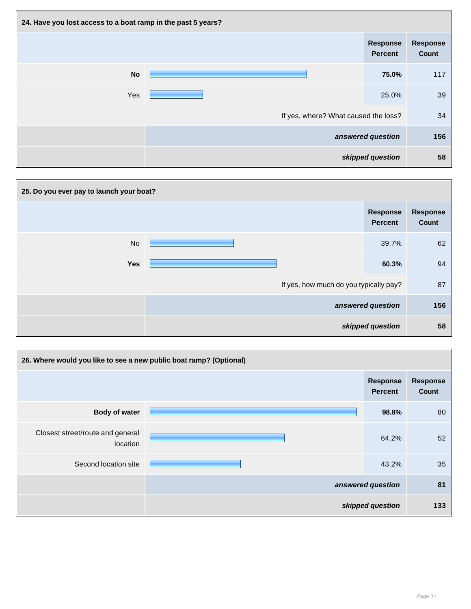| 24. Have you lost access to a boat ramp in the past 5 years? |                                      |                                   |                                 |
|--------------------------------------------------------------|--------------------------------------|-----------------------------------|---------------------------------|
|                                                              |                                      | <b>Response</b><br><b>Percent</b> | <b>Response</b><br><b>Count</b> |
| <b>No</b>                                                    |                                      | 75.0%                             | 117                             |
| Yes                                                          |                                      | 25.0%                             | 39                              |
|                                                              | If yes, where? What caused the loss? |                                   | 34                              |
|                                                              |                                      | answered question                 | 156                             |
|                                                              |                                      | skipped question                  | 58                              |

| 25. Do you ever pay to launch your boat? |                   |                                   |                                 |  |
|------------------------------------------|-------------------|-----------------------------------|---------------------------------|--|
|                                          |                   | <b>Response</b><br><b>Percent</b> | <b>Response</b><br><b>Count</b> |  |
| <b>No</b>                                |                   | 39.7%                             | 62                              |  |
| <b>Yes</b>                               |                   | 60.3%                             | 94                              |  |
| If yes, how much do you typically pay?   |                   | 87                                |                                 |  |
|                                          | answered question |                                   | 156                             |  |
|                                          | skipped question  |                                   | 58                              |  |

| 26. Where would you like to see a new public boat ramp? (Optional) |                   |                                   |                                 |  |
|--------------------------------------------------------------------|-------------------|-----------------------------------|---------------------------------|--|
|                                                                    |                   | <b>Response</b><br><b>Percent</b> | <b>Response</b><br><b>Count</b> |  |
| <b>Body of water</b>                                               |                   | 98.8%                             | 80                              |  |
| Closest street/route and general<br>location                       |                   | 64.2%                             | 52                              |  |
| Second location site                                               |                   | 43.2%                             | 35                              |  |
|                                                                    | answered question |                                   | 81                              |  |
|                                                                    | skipped question  |                                   | 133                             |  |